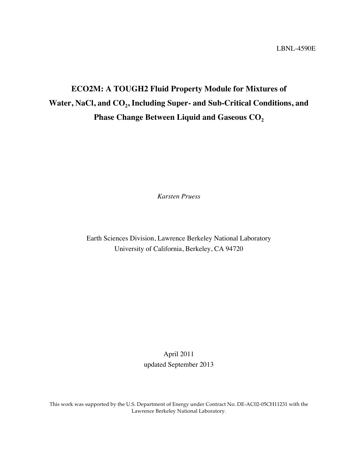# **ECO2M: A TOUGH2 Fluid Property Module for Mixtures of**  Water, NaCl, and CO<sub>2</sub>, Including Super- and Sub-Critical Conditions, and **Phase Change Between Liquid and Gaseous CO2**

*Karsten Pruess*

Earth Sciences Division, Lawrence Berkeley National Laboratory University of California, Berkeley, CA 94720

> April 2011 updated September 2013

This work was supported by the U.S. Department of Energy under Contract No. DE-AC02-05CH11231 with the Lawrence Berkeley National Laboratory.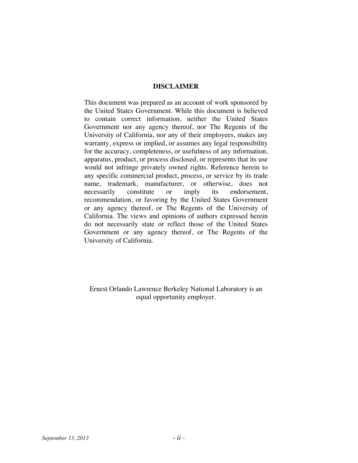#### **DISCLAIMER**

This document was prepared as an account of work sponsored by the United States Government. While this document is believed to contain correct information, neither the United States Government nor any agency thereof, nor The Regents of the University of California, nor any of their employees, makes any warranty, express or implied, or assumes any legal responsibility for the accuracy, completeness, or usefulness of any information, apparatus, product, or process disclosed, or represents that its use would not infringe privately owned rights. Reference herein to any specific commercial product, process, or service by its trade name, trademark, manufacturer, or otherwise, does not necessarily constitute or imply its endorsement, recommendation, or favoring by the United States Government or any agency thereof, or The Regents of the University of California. The views and opinions of authors expressed herein do not necessarily state or reflect those of the United States Government or any agency thereof, or The Regents of the University of California.

Ernest Orlando Lawrence Berkeley National Laboratory is an equal opportunity employer.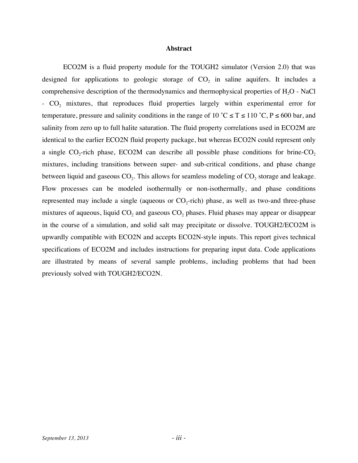#### **Abstract**

ECO2M is a fluid property module for the TOUGH2 simulator (Version 2.0) that was designed for applications to geologic storage of  $CO<sub>2</sub>$  in saline aquifers. It includes a comprehensive description of the thermodynamics and thermophysical properties of  $H_2O$  - NaCl  $-CO<sub>2</sub>$  mixtures, that reproduces fluid properties largely within experimental error for temperature, pressure and salinity conditions in the range of 10 °C  $\leq T \leq 110$  °C, P  $\leq 600$  bar, and salinity from zero up to full halite saturation. The fluid property correlations used in ECO2M are identical to the earlier ECO2N fluid property package, but whereas ECO2N could represent only a single  $CO<sub>2</sub>$ -rich phase, ECO2M can describe all possible phase conditions for brine-CO<sub>2</sub> mixtures, including transitions between super- and sub-critical conditions, and phase change between liquid and gaseous  $CO<sub>2</sub>$ . This allows for seamless modeling of  $CO<sub>2</sub>$  storage and leakage. Flow processes can be modeled isothermally or non-isothermally, and phase conditions represented may include a single (aqueous or  $CO_2$ -rich) phase, as well as two-and three-phase mixtures of aqueous, liquid  $CO<sub>2</sub>$  and gaseous  $CO<sub>2</sub>$  phases. Fluid phases may appear or disappear in the course of a simulation, and solid salt may precipitate or dissolve. TOUGH2/ECO2M is upwardly compatible with ECO2N and accepts ECO2N-style inputs. This report gives technical specifications of ECO2M and includes instructions for preparing input data. Code applications are illustrated by means of several sample problems, including problems that had been previously solved with TOUGH2/ECO2N.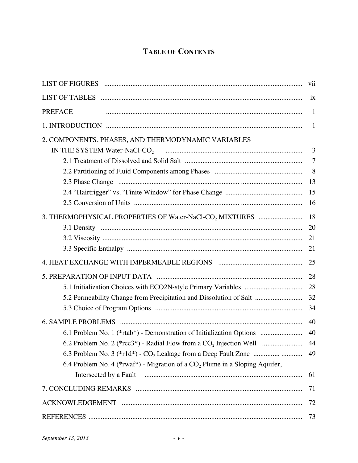### **TABLE OF CONTENTS**

| LIST OF FIGURES And All and Allin and All and All and All and All and All and All and All and All and All and A | vii            |
|-----------------------------------------------------------------------------------------------------------------|----------------|
| LIST OF TABLES EXECUTIONS CONTINUES AND THE RESERVE TO FABLES                                                   | ix             |
| <b>PREFACE</b>                                                                                                  | $\mathbf{1}$   |
|                                                                                                                 | $\mathbf{1}$   |
| 2. COMPONENTS, PHASES, AND THERMODYNAMIC VARIABLES                                                              |                |
| $\overline{3}$                                                                                                  |                |
|                                                                                                                 | $\overline{7}$ |
|                                                                                                                 | 8              |
|                                                                                                                 | 13             |
|                                                                                                                 | 15             |
|                                                                                                                 | 16             |
| 3. THERMOPHYSICAL PROPERTIES OF Water-NaCl-CO <sub>2</sub> MIXTURES                                             | 18             |
|                                                                                                                 | 20             |
|                                                                                                                 | 21             |
|                                                                                                                 | 21             |
|                                                                                                                 | 25             |
|                                                                                                                 | 28             |
|                                                                                                                 | 28             |
| 5.2 Permeability Change from Precipitation and Dissolution of Salt                                              | 32             |
|                                                                                                                 | 34             |
|                                                                                                                 | 40             |
| 6.1 Problem No. 1 (*rtab*) - Demonstration of Initialization Options                                            | 40             |
|                                                                                                                 | 44             |
| 6.3 Problem No. 3 (*r1d*) - CO <sub>2</sub> Leakage from a Deep Fault Zone                                      | 49             |
| 6.4 Problem No. 4 (*rwaf*) - Migration of a $CO2$ Plume in a Sloping Aquifer,                                   |                |
|                                                                                                                 | 61             |
|                                                                                                                 | 71             |
|                                                                                                                 | 72             |
|                                                                                                                 | 73             |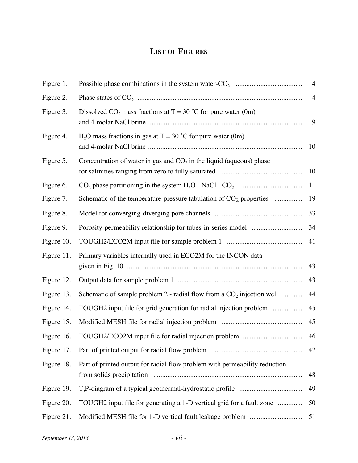## **LIST OF FIGURES**

| Figure 1.  |                                                                                | $\overline{4}$ |
|------------|--------------------------------------------------------------------------------|----------------|
| Figure 2.  |                                                                                | $\overline{4}$ |
| Figure 3.  | Dissolved $CO_2$ mass fractions at T = 30 °C for pure water (0m)               | 9              |
| Figure 4.  | $H_2O$ mass fractions in gas at T = 30 °C for pure water (0m)                  | 10             |
| Figure 5.  | Concentration of water in gas and $CO2$ in the liquid (aqueous) phase          | 10             |
| Figure 6.  |                                                                                | 11             |
| Figure 7.  | Schematic of the temperature-pressure tabulation of CO <sub>2</sub> properties | 19             |
| Figure 8.  |                                                                                | 33             |
| Figure 9.  |                                                                                | 34             |
| Figure 10. |                                                                                | 41             |
| Figure 11. | Primary variables internally used in ECO2M for the INCON data                  | 43             |
| Figure 12. |                                                                                | 43             |
| Figure 13. | Schematic of sample problem $2$ - radial flow from a $CO2$ injection well      | 44             |
| Figure 14. | TOUGH2 input file for grid generation for radial injection problem             | 45             |
| Figure 15. |                                                                                | 45             |
| Figure 16. |                                                                                | 46             |
| Figure 17. |                                                                                | 47             |
| Figure 18. | Part of printed output for radial flow problem with permeability reduction     | 48             |
| Figure 19. |                                                                                | 49             |
| Figure 20. | TOUGH2 input file for generating a 1-D vertical grid for a fault zone          | 50             |
| Figure 21. |                                                                                | 51             |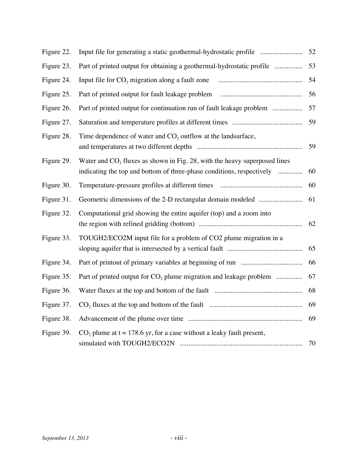| Figure 22. | Input file for generating a static geothermal-hydrostatic profile                                                                                    | 52 |
|------------|------------------------------------------------------------------------------------------------------------------------------------------------------|----|
| Figure 23. | Part of printed output for obtaining a geothermal-hydrostatic profile                                                                                | 53 |
| Figure 24. | Input file for $CO2$ migration along a fault zone                                                                                                    | 54 |
| Figure 25. | Part of printed output for fault leakage problem                                                                                                     | 56 |
| Figure 26. | Part of printed output for continuation run of fault leakage problem                                                                                 | 57 |
| Figure 27. |                                                                                                                                                      | 59 |
| Figure 28. | Time dependence of water and $CO2$ outflow at the landsurface,                                                                                       | 59 |
| Figure 29. | Water and $CO2$ fluxes as shown in Fig. 28, with the heavy superposed lines<br>indicating the top and bottom of three-phase conditions, respectively | 60 |
| Figure 30. |                                                                                                                                                      | 60 |
| Figure 31. |                                                                                                                                                      | 61 |
| Figure 32. | Computational grid showing the entire aquifer (top) and a zoom into                                                                                  | 62 |
| Figure 33. | TOUGH2/ECO2M input file for a problem of CO2 plume migration in a                                                                                    | 65 |
| Figure 34. |                                                                                                                                                      | 66 |
| Figure 35. | Part of printed output for $CO2$ plume migration and leakage problem                                                                                 | 67 |
| Figure 36. |                                                                                                                                                      | 68 |
| Figure 37. |                                                                                                                                                      | 69 |
| Figure 38. |                                                                                                                                                      | 69 |
| Figure 39. | $CO2$ plume at t = 178.6 yr, for a case without a leaky fault present,                                                                               | 70 |